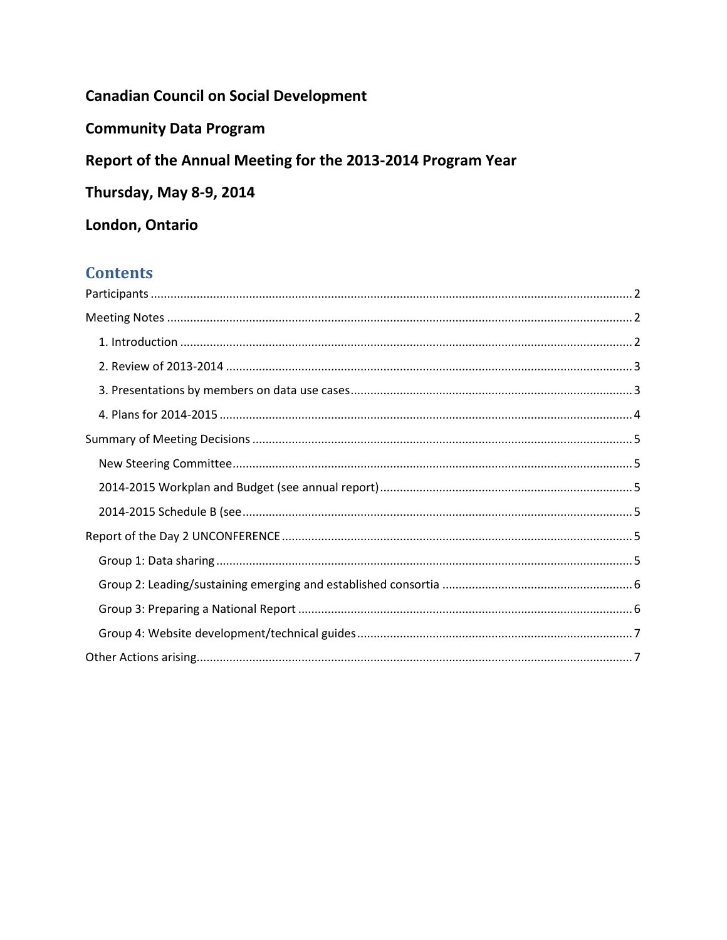# **Canadian Council on Social Development**

**Community Data Program** 

# Report of the Annual Meeting for the 2013-2014 Program Year

Thursday, May 8-9, 2014

## London, Ontario

# **Contents**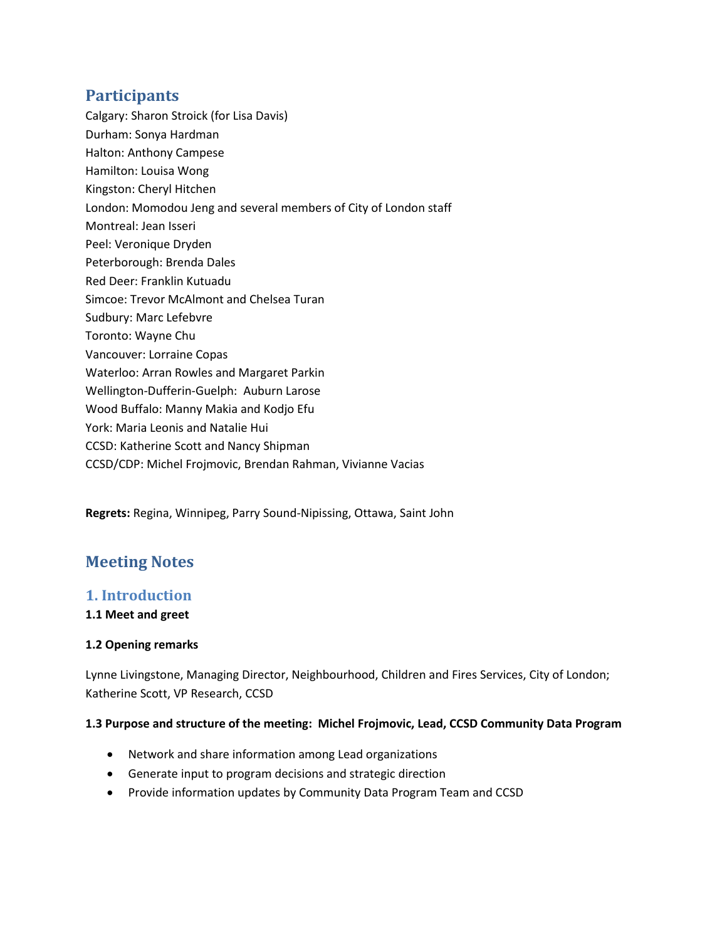## <span id="page-1-0"></span>**Participants**

- Calgary: Sharon Stroick (for Lisa Davis)
- Durham: Sonya Hardman
- Halton: Anthony Campese
- Hamilton: Louisa Wong
- Kingston: Cheryl Hitchen
- London: Momodou Jeng and several members of City of London staff
- Montreal: Jean Isseri
- Peel: Veronique Dryden
- Peterborough: Brenda Dales
- Red Deer: Franklin Kutuadu
- Simcoe: Trevor McAlmont and Chelsea Turan
- Sudbury: Marc Lefebvre
- Toronto: Wayne Chu
- Vancouver: Lorraine Copas
- Waterloo: Arran Rowles and Margaret Parkin
- Wellington-Dufferin-Guelph: Auburn Larose
- Wood Buffalo: Manny Makia and Kodjo Efu
- York: Maria Leonis and Natalie Hui
- CCSD: Katherine Scott and Nancy Shipman
- CCSD/CDP: Michel Frojmovic, Brendan Rahman, Vivianne Vacias

**Regrets:** Regina, Winnipeg, Parry Sound-Nipissing, Ottawa, Saint John

# <span id="page-1-1"></span>**Meeting Notes**

### <span id="page-1-2"></span>**1. Introduction**

#### **1.1 Meet and greet**

#### **1.2 Opening remarks**

Lynne Livingstone, Managing Director, Neighbourhood, Children and Fires Services, City of London; Katherine Scott, VP Research, CCSD

#### **1.3 Purpose and structure of the meeting: Michel Frojmovic, Lead, CCSD Community Data Program**

- Network and share information among Lead organizations
- Generate input to program decisions and strategic direction
- Provide information updates by Community Data Program Team and CCSD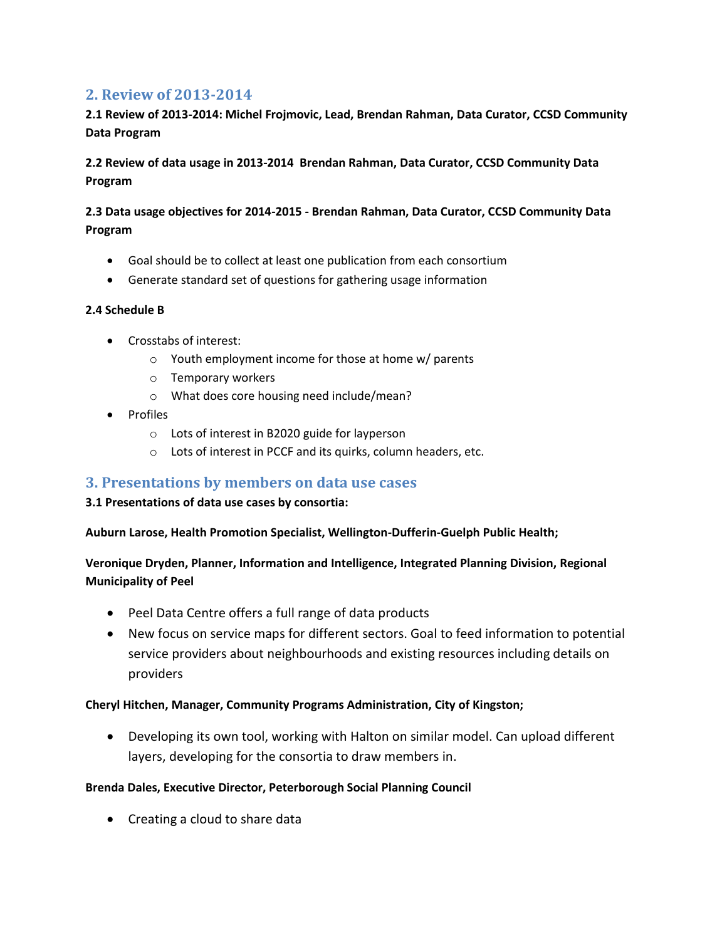### <span id="page-2-0"></span>**2. Review of 2013-2014**

### **2.1 Review of 2013-2014: Michel Frojmovic, Lead, Brendan Rahman, Data Curator, CCSD Community Data Program**

**2.2 Review of data usage in 2013-2014 Brendan Rahman, Data Curator, CCSD Community Data Program** 

### **2.3 Data usage objectives for 2014-2015 - Brendan Rahman, Data Curator, CCSD Community Data Program**

- Goal should be to collect at least one publication from each consortium
- Generate standard set of questions for gathering usage information

#### **2.4 Schedule B**

- Crosstabs of interest:
	- o Youth employment income for those at home w/ parents
	- o Temporary workers
	- o What does core housing need include/mean?
- Profiles
	- o Lots of interest in B2020 guide for layperson
	- o Lots of interest in PCCF and its quirks, column headers, etc.

### <span id="page-2-1"></span>**3. Presentations by members on data use cases**

#### **3.1 Presentations of data use cases by consortia:**

**Auburn Larose, Health Promotion Specialist, Wellington-Dufferin-Guelph Public Health;**

### **Veronique Dryden, Planner, Information and Intelligence, Integrated Planning Division, Regional Municipality of Peel**

- Peel Data Centre offers a full range of data products
- New focus on service maps for different sectors. Goal to feed information to potential service providers about neighbourhoods and existing resources including details on providers

#### **Cheryl Hitchen, Manager, Community Programs Administration, City of Kingston;**

• Developing its own tool, working with Halton on similar model. Can upload different layers, developing for the consortia to draw members in.

#### **Brenda Dales, Executive Director, Peterborough Social Planning Council**

• Creating a cloud to share data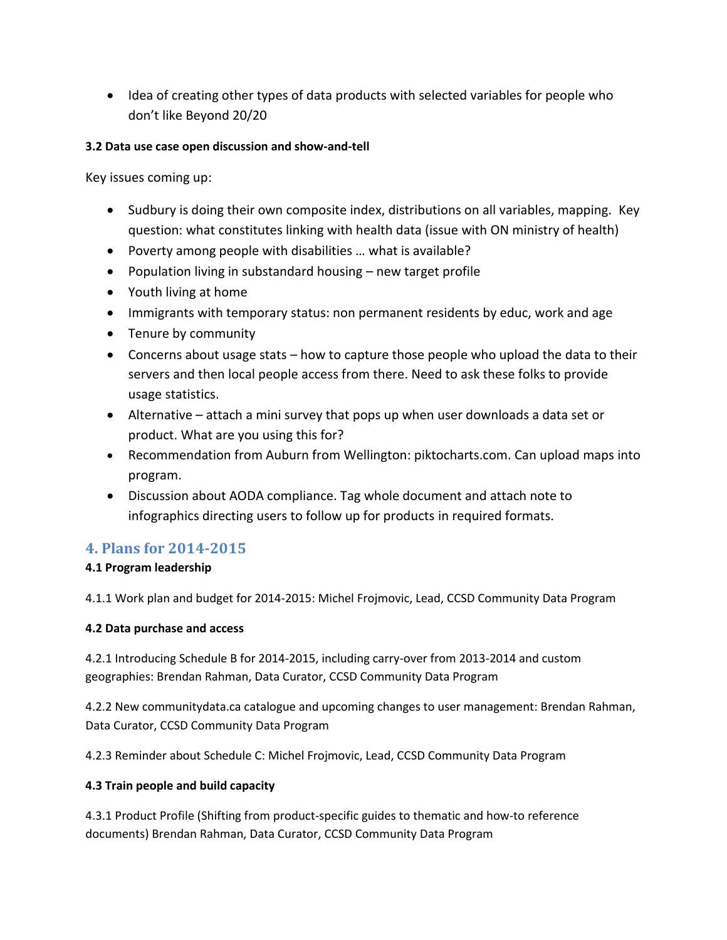• Idea of creating other types of data products with selected variables for people who don't like Beyond 20/20

#### **3.2 Data use case open discussion and show-and-tell**

Key issues coming up:

- Sudbury is doing their own composite index, distributions on all variables, mapping. Key question: what constitutes linking with health data (issue with ON ministry of health)
- Poverty among people with disabilities … what is available?
- Population living in substandard housing new target profile
- Youth living at home
- Immigrants with temporary status: non permanent residents by educ, work and age
- Tenure by community
- Concerns about usage stats how to capture those people who upload the data to their servers and then local people access from there. Need to ask these folks to provide usage statistics.
- Alternative attach a mini survey that pops up when user downloads a data set or product. What are you using this for?
- Recommendation from Auburn from Wellington: piktocharts.com. Can upload maps into program.
- Discussion about AODA compliance. Tag whole document and attach note to infographics directing users to follow up for products in required formats.

## <span id="page-3-0"></span>**4. Plans for 2014-2015**

#### **4.1 Program leadership**

4.1.1 Work plan and budget for 2014-2015: Michel Frojmovic, Lead, CCSD Community Data Program

#### **4.2 Data purchase and access**

4.2.1 Introducing Schedule B for 2014-2015, including carry-over from 2013-2014 and custom geographies: Brendan Rahman, Data Curator, CCSD Community Data Program

4.2.2 New communitydata.ca catalogue and upcoming changes to user management: Brendan Rahman, Data Curator, CCSD Community Data Program

4.2.3 Reminder about Schedule C: Michel Frojmovic, Lead, CCSD Community Data Program

#### **4.3 Train people and build capacity**

4.3.1 Product Profile (Shifting from product-specific guides to thematic and how-to reference documents) Brendan Rahman, Data Curator, CCSD Community Data Program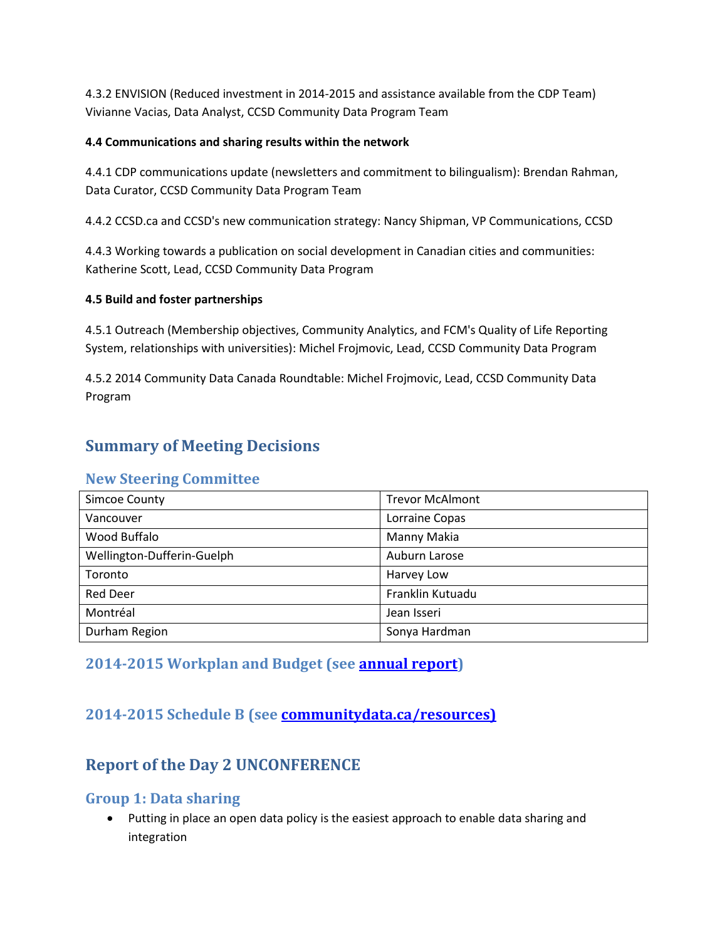4.3.2 ENVISION (Reduced investment in 2014-2015 and assistance available from the CDP Team) Vivianne Vacias, Data Analyst, CCSD Community Data Program Team

#### **4.4 Communications and sharing results within the network**

4.4.1 CDP communications update (newsletters and commitment to bilingualism): Brendan Rahman, Data Curator, CCSD Community Data Program Team

4.4.2 CCSD.ca and CCSD's new communication strategy: Nancy Shipman, VP Communications, CCSD

4.4.3 Working towards a publication on social development in Canadian cities and communities: Katherine Scott, Lead, CCSD Community Data Program

#### **4.5 Build and foster partnerships**

4.5.1 Outreach (Membership objectives, Community Analytics, and FCM's Quality of Life Reporting System, relationships with universities): Michel Frojmovic, Lead, CCSD Community Data Program

4.5.2 2014 Community Data Canada Roundtable: Michel Frojmovic, Lead, CCSD Community Data Program

# <span id="page-4-0"></span>**Summary of Meeting Decisions**

### <span id="page-4-1"></span>**New Steering Committee**

| Simcoe County              | <b>Trevor McAlmont</b> |
|----------------------------|------------------------|
| Vancouver                  | Lorraine Copas         |
| Wood Buffalo               | Manny Makia            |
| Wellington-Dufferin-Guelph | Auburn Larose          |
| Toronto                    | Harvey Low             |
| <b>Red Deer</b>            | Franklin Kutuadu       |
| Montréal                   | Jean Isseri            |
| Durham Region              | Sonya Hardman          |

## <span id="page-4-2"></span>**2014-2015 Workplan and Budget (see [annual report\)](http://communitydata.ca/sites/default/files/ccsd-cdp_annual-report-2013-2014.pdf)**

# <span id="page-4-3"></span>**2014-2015 Schedule B (see [communitydata.ca/resources\)](http://communitydata.ca/sites/default/files/ccsd-cdp_schedule-b_2013-2015.pdf)**

# <span id="page-4-4"></span>**Report of the Day 2 UNCONFERENCE**

### <span id="page-4-5"></span>**Group 1: Data sharing**

• Putting in place an open data policy is the easiest approach to enable data sharing and integration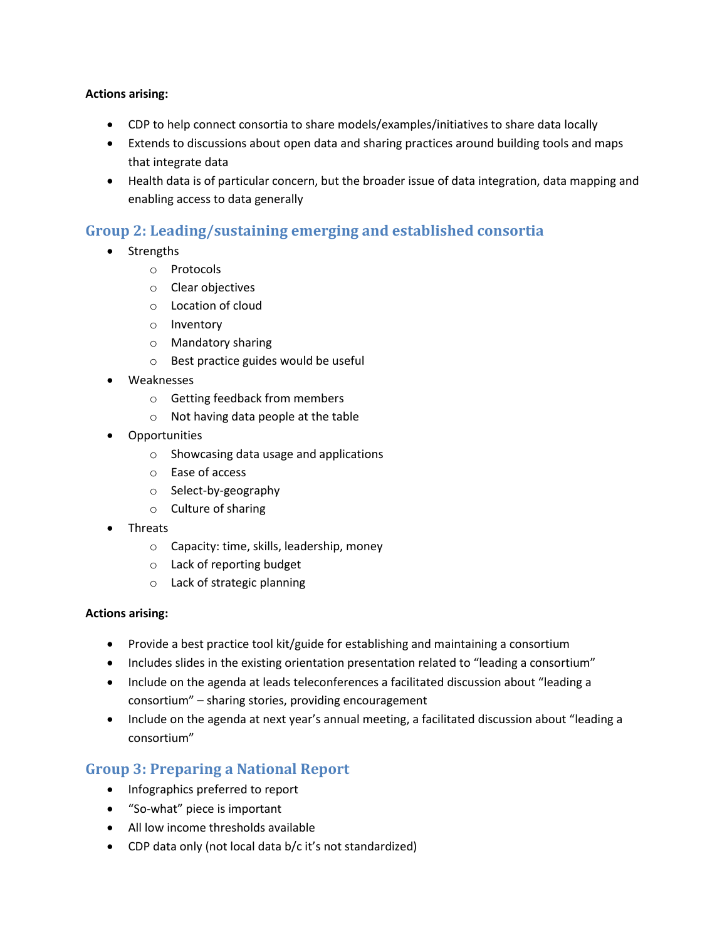#### **Actions arising:**

- CDP to help connect consortia to share models/examples/initiatives to share data locally
- Extends to discussions about open data and sharing practices around building tools and maps that integrate data
- Health data is of particular concern, but the broader issue of data integration, data mapping and enabling access to data generally

## <span id="page-5-0"></span>**Group 2: Leading/sustaining emerging and established consortia**

- Strengths
	- o Protocols
	- o Clear objectives
	- o Location of cloud
	- o Inventory
	- o Mandatory sharing
	- o Best practice guides would be useful
- Weaknesses
	- o Getting feedback from members
	- o Not having data people at the table
- Opportunities
	- o Showcasing data usage and applications
	- o Ease of access
	- o Select-by-geography
	- o Culture of sharing
- Threats
	- o Capacity: time, skills, leadership, money
	- o Lack of reporting budget
	- o Lack of strategic planning

#### **Actions arising:**

- Provide a best practice tool kit/guide for establishing and maintaining a consortium
- Includes slides in the existing orientation presentation related to "leading a consortium"
- Include on the agenda at leads teleconferences a facilitated discussion about "leading a consortium" – sharing stories, providing encouragement
- Include on the agenda at next year's annual meeting, a facilitated discussion about "leading a consortium"

## <span id="page-5-1"></span>**Group 3: Preparing a National Report**

- Infographics preferred to report
- "So-what" piece is important
- All low income thresholds available
- CDP data only (not local data b/c it's not standardized)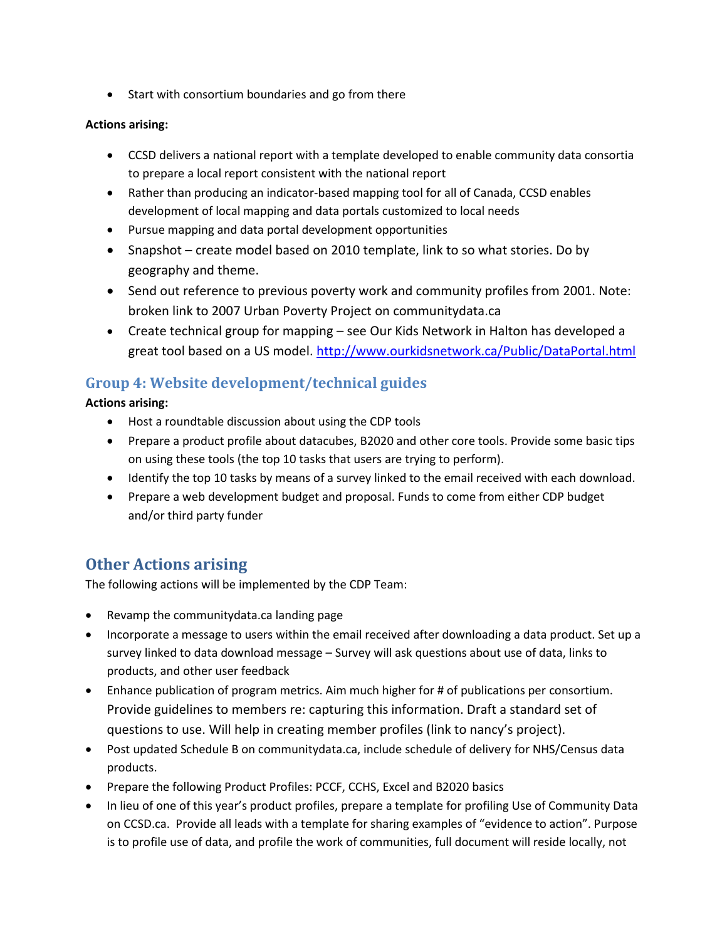• Start with consortium boundaries and go from there

#### **Actions arising:**

- CCSD delivers a national report with a template developed to enable community data consortia to prepare a local report consistent with the national report
- Rather than producing an indicator-based mapping tool for all of Canada, CCSD enables development of local mapping and data portals customized to local needs
- Pursue mapping and data portal development opportunities
- Snapshot create model based on 2010 template, link to so what stories. Do by geography and theme.
- Send out reference to previous poverty work and community profiles from 2001. Note: broken link to 2007 Urban Poverty Project on communitydata.ca
- Create technical group for mapping see Our Kids Network in Halton has developed a great tool based on a US model.<http://www.ourkidsnetwork.ca/Public/DataPortal.html>

## <span id="page-6-0"></span>**Group 4: Website development/technical guides**

**Actions arising:**

- Host a roundtable discussion about using the CDP tools
- Prepare a product profile about datacubes, B2020 and other core tools. Provide some basic tips on using these tools (the top 10 tasks that users are trying to perform).
- Identify the top 10 tasks by means of a survey linked to the email received with each download.
- Prepare a web development budget and proposal. Funds to come from either CDP budget and/or third party funder

# <span id="page-6-1"></span>**Other Actions arising**

The following actions will be implemented by the CDP Team:

- Revamp the communitydata.ca landing page
- Incorporate a message to users within the email received after downloading a data product. Set up a survey linked to data download message – Survey will ask questions about use of data, links to products, and other user feedback
- Enhance publication of program metrics. Aim much higher for # of publications per consortium. Provide guidelines to members re: capturing this information. Draft a standard set of questions to use. Will help in creating member profiles (link to nancy's project).
- Post updated Schedule B on communitydata.ca, include schedule of delivery for NHS/Census data products.
- Prepare the following Product Profiles: PCCF, CCHS, Excel and B2020 basics
- In lieu of one of this year's product profiles, prepare a template for profiling Use of Community Data on CCSD.ca. Provide all leads with a template for sharing examples of "evidence to action". Purpose is to profile use of data, and profile the work of communities, full document will reside locally, not